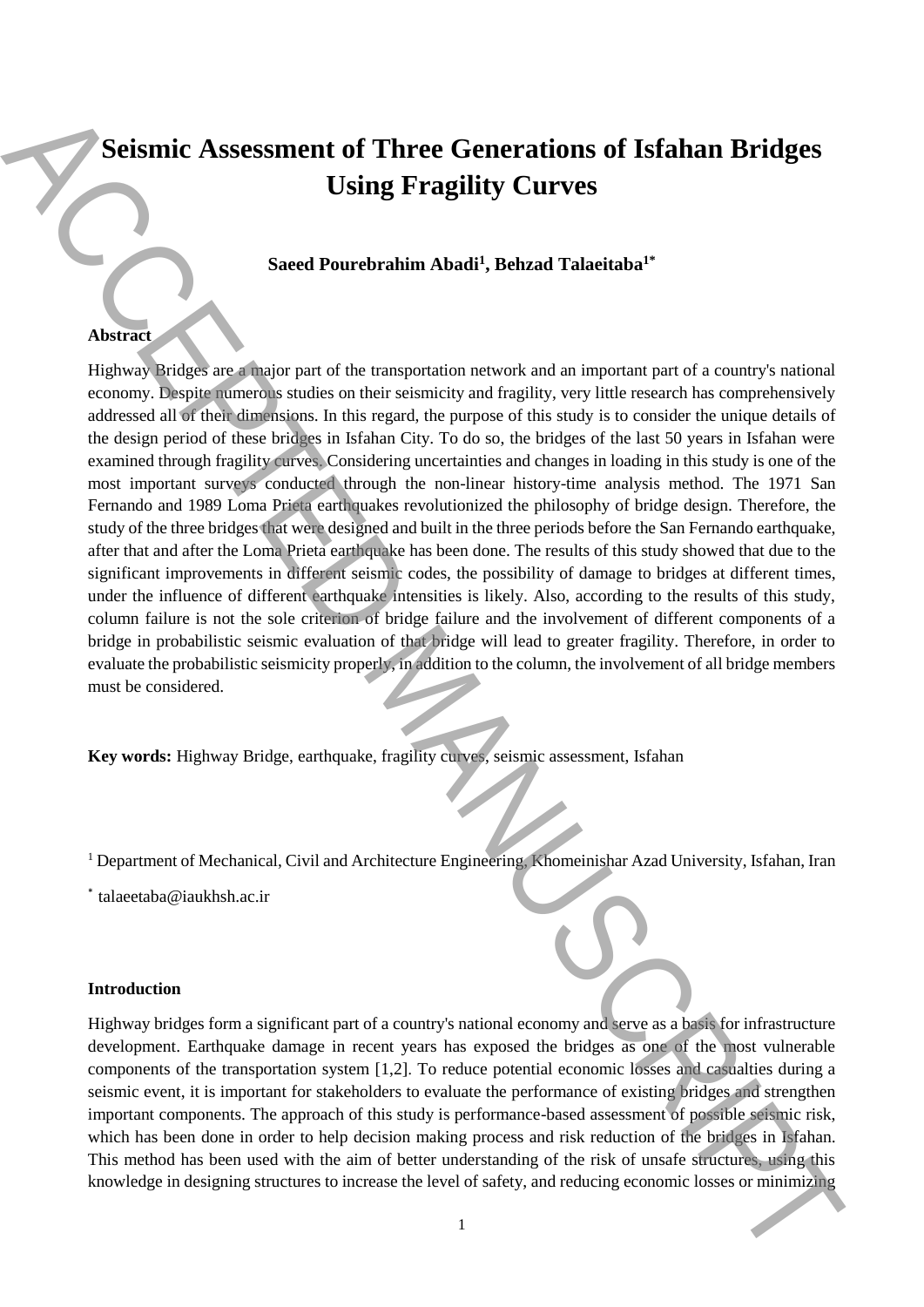# **Seismic Assessment of Three Generations of Isfahan Bridges Using Fragility Curves**

# **Saeed Pourebrahim Abadi<sup>1</sup> , Behzad Talaeitaba1\***

### **Abstract**

Highway Bridges are a major part of the transportation network and an important part of a country's national economy. Despite numerous studies on their seismicity and fragility, very little research has comprehensively addressed all of their dimensions. In this regard, the purpose of this study is to consider the unique details of the design period of these bridges in Isfahan City. To do so, the bridges of the last 50 years in Isfahan were examined through fragility curves. Considering uncertainties and changes in loading in this study is one of the most important surveys conducted through the non-linear history-time analysis method. The 1971 San Fernando and 1989 Loma Prieta earthquakes revolutionized the philosophy of bridge design. Therefore, the study of the three bridges that were designed and built in the three periods before the San Fernando earthquake, after that and after the Loma Prieta earthquake has been done. The results of this study showed that due to the significant improvements in different seismic codes, the possibility of damage to bridges at different times, under the influence of different earthquake intensities is likely. Also, according to the results of this study, column failure is not the sole criterion of bridge failure and the involvement of different components of a bridge in probabilistic seismic evaluation of that bridge will lead to greater fragility. Therefore, in order to evaluate the probabilistic seismicity properly, in addition to the column, the involvement of all bridge members must be considered. **Seismic Assessment of Three Generations of Isfahan Bridges<br>
Using Fragility Curves<br>
Seed Pourobrahim About! Dehard Talachaba<sup>n</sup><br>
Media in designing the magnitude research and a negroe the manipulation of same and the com** 

**Key words:** Highway Bridge, earthquake, fragility curves, seismic assessment, Isfahan

<sup>1</sup> Department of Mechanical, Civil and Architecture Engineering, Khomeinishar Azad University, Isfahan, Iran

\* talaeetaba@iaukhsh.ac.ir

#### **Introduction**

Highway bridges form a significant part of a country's national economy and serve as a basis for infrastructure development. Earthquake damage in recent years has exposed the bridges as one of the most vulnerable components of the transportation system [1,2]. To reduce potential economic losses and casualties during a seismic event, it is important for stakeholders to evaluate the performance of existing bridges and strengthen important components. The approach of this study is performance-based assessment of possible seismic risk, which has been done in order to help decision making process and risk reduction of the bridges in Isfahan. This method has been used with the aim of better understanding of the risk of unsafe structures, using this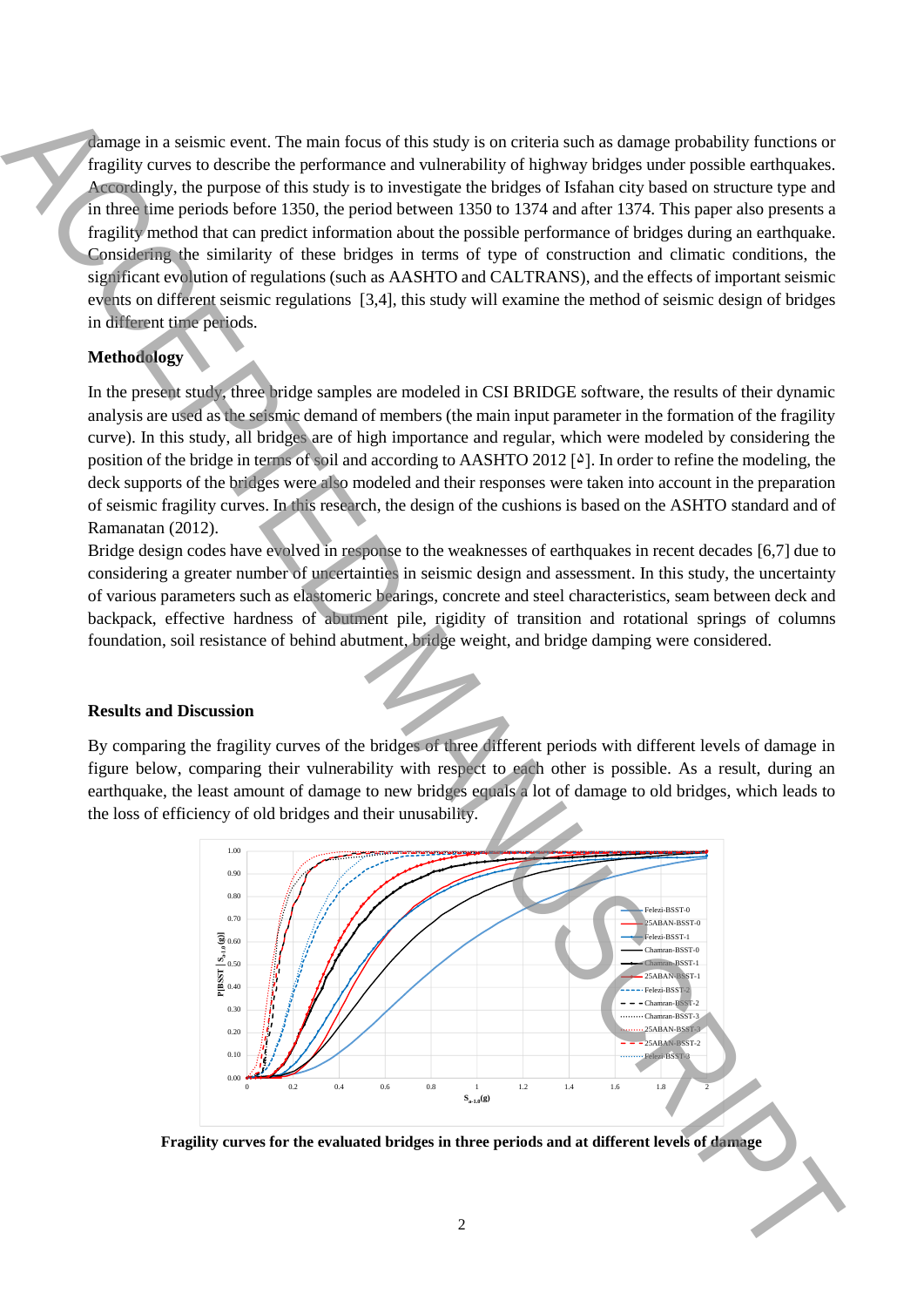damage in a seismic event. The main focus of this study is on criteria such as damage probability functions or fragility curves to describe the performance and vulnerability of highway bridges under possible earthquakes. Accordingly, the purpose of this study is to investigate the bridges of Isfahan city based on structure type and in three time periods before 1350, the period between 1350 to 1374 and after 1374. This paper also presents a fragility method that can predict information about the possible performance of bridges during an earthquake. Considering the similarity of these bridges in terms of type of construction and climatic conditions, the significant evolution of regulations (such as AASHTO and CALTRANS), and the effects of important seismic events on different seismic regulations [3,4], this study will examine the method of seismic design of bridges in different time periods.

# **Methodology**

In the present study, three bridge samples are modeled in CSI BRIDGE software, the results of their dynamic analysis are used as the seismic demand of members (the main input parameter in the formation of the fragility curve). In this study, all bridges are of high importance and regular, which were modeled by considering the position of the bridge in terms of soil and according to AASHTO 2012 [ $\delta$ ]. In order to refine the modeling, the deck supports of the bridges were also modeled and their responses were taken into account in the preparation of seismic fragility curves. In this research, the design of the cushions is based on the ASHTO standard and of Ramanatan (2012).

Bridge design codes have evolved in response to the weaknesses of earthquakes in recent decades [6,7] due to considering a greater number of uncertainties in seismic design and assessment. In this study, the uncertainty of various parameters such as elastomeric bearings, concrete and steel characteristics, seam between deck and backpack, effective hardness of abutment pile, rigidity of transition and rotational springs of columns foundation, soil resistance of behind abutment, bridge weight, and bridge damping were considered.

# **Results and Discussion**

By comparing the fragility curves of the bridges of three different periods with different levels of damage in figure below, comparing their vulnerability with respect to each other is possible. As a result, during an earthquake, the least amount of damage to new bridges equals a lot of damage to old bridges, which leads to the loss of efficiency of old bridges and their unusability.



**Fragility curves for the evaluated bridges in three periods and at different levels of damage**